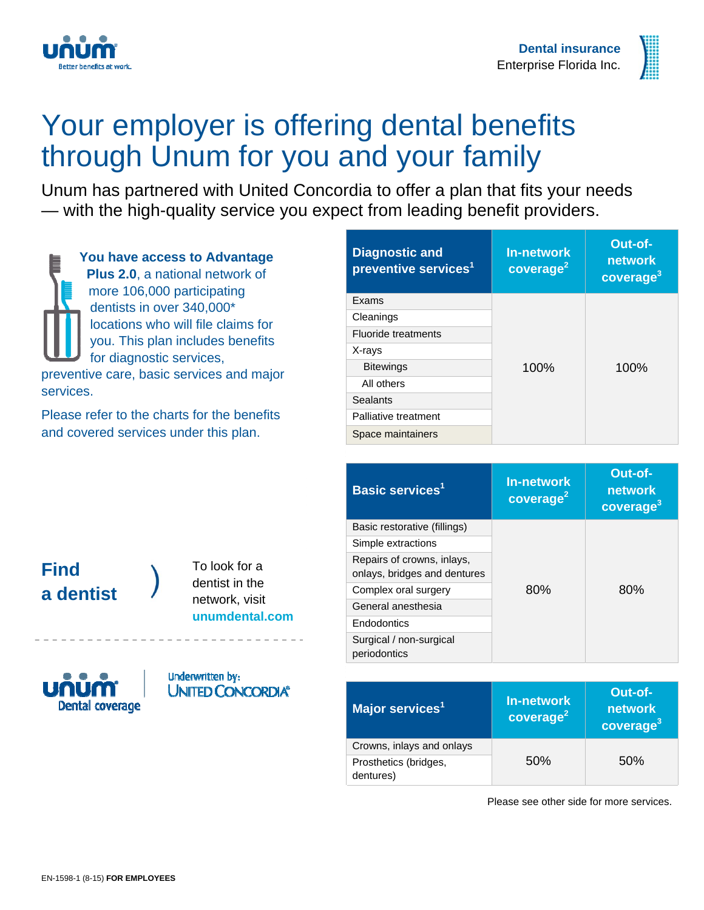



## Your employer is offering dental benefits through Unum for you and your family

Unum has partnered with United Concordia to offer a plan that fits your needs — with the high-quality service you expect from leading benefit providers.

**You have access to Advantage Plus 2.0**, a national network of more 106,000 participating dentists in over 340,000\* locations who will file claims for you. This plan includes benefits for diagnostic services, preventive care, basic services and major services.

Please refer to the charts for the benefits and covered services under this plan.

| <b>Diagnostic and</b><br>preventive services <sup>1</sup> | <b>In-network</b><br>coverage <sup>2</sup> | Out-of-<br>network<br>coverage <sup>3</sup> |
|-----------------------------------------------------------|--------------------------------------------|---------------------------------------------|
| Exams                                                     |                                            |                                             |
| Cleanings                                                 |                                            |                                             |
| <b>Fluoride treatments</b>                                |                                            |                                             |
| X-rays                                                    |                                            |                                             |
| <b>Bitewings</b>                                          | 100%                                       | 100%                                        |
| All others                                                |                                            |                                             |
| <b>Sealants</b>                                           |                                            |                                             |
| Palliative treatment                                      |                                            |                                             |
| Space maintainers                                         |                                            |                                             |

### **Find a dentist**

To look for a dentist in the network, visit **unumdental.com**



**Underwritten by: UNITED CONCORDIA®** 

| <b>Basic services<sup>1</sup></b>                          | <b>In-network</b><br>coverage <sup>2</sup> | Out-of-<br>network<br>coverage <sup>3</sup> |
|------------------------------------------------------------|--------------------------------------------|---------------------------------------------|
| Basic restorative (fillings)                               | 80%                                        | 80%                                         |
| Simple extractions                                         |                                            |                                             |
| Repairs of crowns, inlays,<br>onlays, bridges and dentures |                                            |                                             |
| Complex oral surgery                                       |                                            |                                             |
| General anesthesia                                         |                                            |                                             |
| Endodontics                                                |                                            |                                             |
| Surgical / non-surgical<br>periodontics                    |                                            |                                             |

| Major services <sup>1</sup>        | <b>In-network</b><br>coverage <sup>2</sup> | Out-of-<br>network<br>coverage <sup>3</sup> |
|------------------------------------|--------------------------------------------|---------------------------------------------|
| Crowns, inlays and onlays          | 50%                                        | 50%                                         |
| Prosthetics (bridges,<br>dentures) |                                            |                                             |

Please see other side for more services.